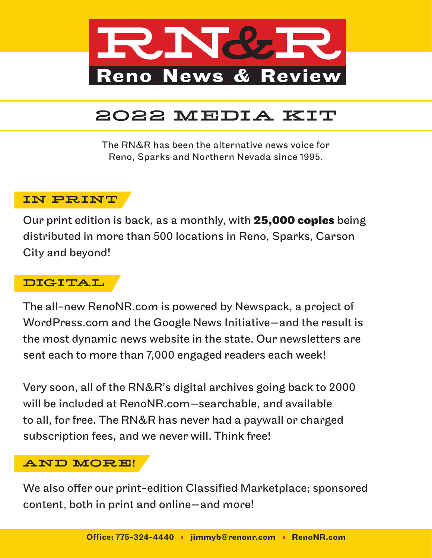

The RN&R has been the alternative news voice for Reno, Sparks and Northern Nevada since 1995.

### IN PRINT

Our print edition is back, as a monthly, with **25,000 copies** being distributed in more than 500 locations in Reno, Sparks, Carson City and beyond!

### DIGITAL

The all-new RenoNR.com is powered by Newspack, a project of WordPress.com and the Google News Initiative—and the result is the most dynamic news website in the state. Our newsletters are sent each to more than 7,000 engaged readers each week!

Very soon, all of the RN&R's digital archives going back to 2000 will be included at RenoNR.com—searchable, and available to all, for free. The RN&R has never had a paywall or charged subscription fees, and we never will. Think free!

### AND MORE!

We also offer our print-edition Classified Marketplace; sponsored content, both in print and online—and more!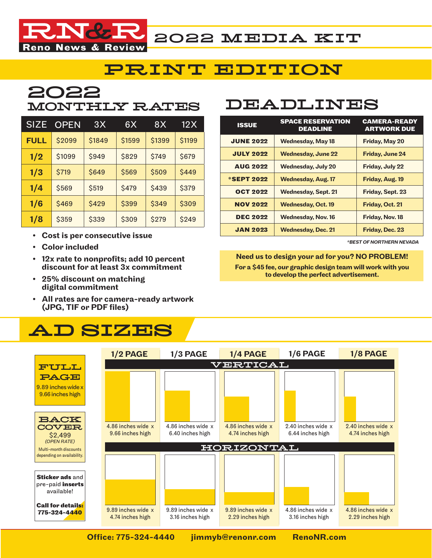

### PRINT EDITION

# 2022

| <b>SIZE</b> | <b>OPEN</b> | 3X     | 6X     | 8X     | 12 X   |
|-------------|-------------|--------|--------|--------|--------|
| <b>FULL</b> | \$2099      | \$1849 | \$1599 | \$1399 | \$1199 |
| 1/2         | \$1099      | \$949  | \$829  | \$749  | \$679  |
| 1/3         | \$719       | \$649  | \$569  | \$509  | \$449  |
| 1/4         | \$569       | \$519  | \$479  | \$439  | \$379  |
| 1/6         | \$469       | \$429  | \$399  | \$349  | \$309  |
| 1/8         | \$359       | \$339  | \$309  | \$279  | \$249  |

- Cost is per consecutive issue
- Color included
- 12x rate to nonprofits; add 10 percent discount for at least 3x commitment
- 25% discount on matching digital commitment
- All rates are for camera-ready artwork (JPG, TIF or PDF files)

# AD SIZES

# MONTHLY RATES DEADLINES

| <b>ISSUE</b>      | <b>SPACE RESERVATION</b><br><b>DEADLINE</b> | <b>CAMERA-READY</b><br><b>ARTWORK DUE</b> |  |
|-------------------|---------------------------------------------|-------------------------------------------|--|
| <b>JUNE 2022</b>  | <b>Wednesday, May 18</b>                    | <b>Friday, May 20</b>                     |  |
| <b>JULY 2022</b>  | <b>Wednesday, June 22</b>                   | <b>Friday, June 24</b>                    |  |
| <b>AUG 2022</b>   | <b>Wednesday, July 20</b>                   | Friday, July 22                           |  |
| <b>*SEPT 2022</b> | <b>Wednesday, Aug. 17</b>                   | Friday, Aug. 19                           |  |
| <b>OCT 2022</b>   | <b>Wednesday, Sept. 21</b>                  | <b>Friday, Sept. 23</b>                   |  |
| <b>NOV 2022</b>   | <b>Wednesday, Oct. 19</b>                   | Friday, Oct. 21                           |  |
| <b>DEC 2022</b>   | <b>Wednesday, Nov. 16</b>                   | Friday, Nov. 18                           |  |
| <b>JAN 2023</b>   | <b>Wednesday, Dec. 21</b>                   | Friday, Dec. 23                           |  |

*\*BEST OF NORTHERN NEVADA*

#### Need us to design your ad for you? NO PROBLEM! For a \$45 fee, our graphic design team will work with you to develop the perfect advertisement.

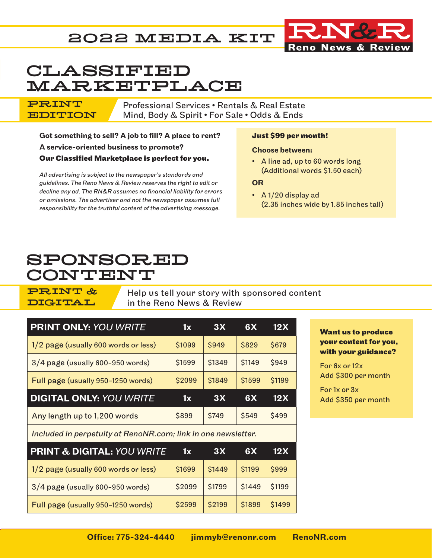

# CLASSIFIED MARKETPLACE

Professional Services • Rentals & Real Estate Mind, Body & Spirit • For Sale • Odds & Ends

Got something to sell? A job to fill? A place to rent? A service-oriented business to promote? **Our Classified Marketplace is perfect for you.**

*All advertising is subject to the newspaper's standards and guidelines. The Reno News & Review reserves the right to edit or decline any ad. The RN&R assumes no financial liability for errors or omissions. The advertiser and not the newspaper assumes full responsibility for the truthful content of the advertising message.*

#### **Just \$99 per month!**

#### Choose between:

• A line ad, up to 60 words long (Additional words \$1.50 each)

#### **OR**

• A 1/20 display ad (2.35 inches wide by 1.85 inches tall)

## SPONSORED CONTENT

PRINT & DIGITAL

PRINT EDITION

> Help us tell your story with sponsored content in the Reno News & Review

| <b>PRINT ONLY: YOU WRITE</b>                                  | 1x     | 3X     | 6X     | 12X    |
|---------------------------------------------------------------|--------|--------|--------|--------|
| 1/2 page (usually 600 words or less)                          | \$1099 | \$949  | \$829  | \$679  |
| $3/4$ page (usually 600-950 words)                            | \$1599 | \$1349 | \$1149 | \$949  |
| Full page (usually 950-1250 words)                            | \$2099 | \$1849 | \$1599 | \$1199 |
|                                                               |        |        |        |        |
| <b>DIGITAL ONLY: YOU WRITE</b>                                | 1x     | 3X     | 6X     | 12X    |
| Any length up to 1,200 words                                  | \$899  | \$749  | \$549  | \$499  |
| Included in perpetuity at RenoNR.com; link in one newsletter. |        |        |        |        |
| <b>PRINT &amp; DIGITAL: YOU WRITE</b>                         | 1x     | 3X     | 6X     | 12X    |

 $1/2$  page (usually 600 words or less)  $\frac{1}{51699}$  \$1449 \$1199 \$999

 $3/4$  page (usually 600-950 words)  $\frac{1}{2}$  \$2099  $\frac{1}{2}$  \$1799  $\frac{1}{2}$  \$1449  $\frac{1}{2}$  \$1199

Full page (usually 950-1250 words)  $\frac{1}{2599}$  \$2599  $\frac{1}{2199}$  \$1899  $\frac{1}{21499}$ 

#### **Want us to produce your content for you, with your guidance?**

For 6x or 12x Add \$300 per month

For 1x or 3x Add \$350 per month